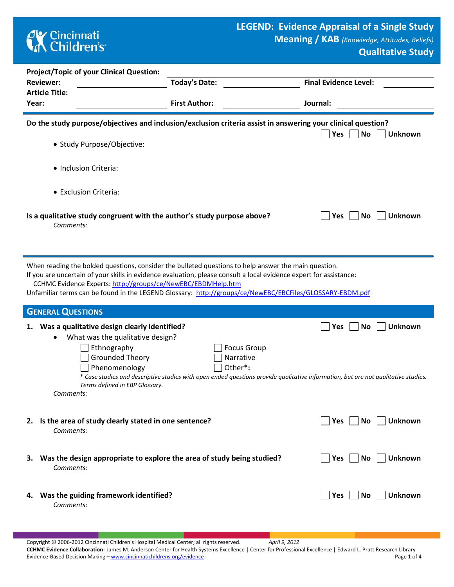# **CK** Cincinnati<br> **Children's**

'n

Ì.

**Qualitative Study**

|       | <b>Project/Topic of your Clinical Question:</b>                                                                                                                                              |                                                                                                                                                                                                                                                                                                                                                                                                        |                                                                                                                                                                                 |  |  |  |  |  |  |
|-------|----------------------------------------------------------------------------------------------------------------------------------------------------------------------------------------------|--------------------------------------------------------------------------------------------------------------------------------------------------------------------------------------------------------------------------------------------------------------------------------------------------------------------------------------------------------------------------------------------------------|---------------------------------------------------------------------------------------------------------------------------------------------------------------------------------|--|--|--|--|--|--|
|       | <b>Reviewer:</b>                                                                                                                                                                             | <b>Today's Date:</b>                                                                                                                                                                                                                                                                                                                                                                                   | <b>Final Evidence Level:</b>                                                                                                                                                    |  |  |  |  |  |  |
| Year: | <b>Article Title:</b>                                                                                                                                                                        | <b>First Author:</b>                                                                                                                                                                                                                                                                                                                                                                                   | Journal:                                                                                                                                                                        |  |  |  |  |  |  |
|       |                                                                                                                                                                                              |                                                                                                                                                                                                                                                                                                                                                                                                        |                                                                                                                                                                                 |  |  |  |  |  |  |
|       | • Study Purpose/Objective:                                                                                                                                                                   |                                                                                                                                                                                                                                                                                                                                                                                                        | Do the study purpose/objectives and inclusion/exclusion criteria assist in answering your clinical question?<br><b>Yes</b><br>No<br><b>Unknown</b>                              |  |  |  |  |  |  |
|       | • Inclusion Criteria:                                                                                                                                                                        |                                                                                                                                                                                                                                                                                                                                                                                                        |                                                                                                                                                                                 |  |  |  |  |  |  |
|       | • Exclusion Criteria:                                                                                                                                                                        |                                                                                                                                                                                                                                                                                                                                                                                                        |                                                                                                                                                                                 |  |  |  |  |  |  |
|       | Is a qualitative study congruent with the author's study purpose above?<br><b>No</b><br><b>Unknown</b><br><b>Yes</b><br>Comments:                                                            |                                                                                                                                                                                                                                                                                                                                                                                                        |                                                                                                                                                                                 |  |  |  |  |  |  |
|       |                                                                                                                                                                                              | When reading the bolded questions, consider the bulleted questions to help answer the main question.<br>If you are uncertain of your skills in evidence evaluation, please consult a local evidence expert for assistance:<br>CCHMC Evidence Experts: http://groups/ce/NewEBC/EBDMHelp.htm<br>Unfamiliar terms can be found in the LEGEND Glossary: http://groups/ce/NewEBC/EBCFiles/GLOSSARY-EBDM.pdf |                                                                                                                                                                                 |  |  |  |  |  |  |
|       | <b>GENERAL QUESTIONS</b>                                                                                                                                                                     |                                                                                                                                                                                                                                                                                                                                                                                                        |                                                                                                                                                                                 |  |  |  |  |  |  |
|       | 1. Was a qualitative design clearly identified?<br>What was the qualitative design?<br>Ethnography<br><b>Grounded Theory</b><br>Phenomenology<br>Terms defined in EBP Glossary.<br>Comments: | <b>Focus Group</b><br>Narrative<br>Other*:                                                                                                                                                                                                                                                                                                                                                             | <b>Unknown</b><br><b>No</b><br><b>Yes</b><br>* Case studies and descriptive studies with open ended questions provide qualitative information, but are not qualitative studies. |  |  |  |  |  |  |
|       | 2. Is the area of study clearly stated in one sentence?<br>Comments:                                                                                                                         |                                                                                                                                                                                                                                                                                                                                                                                                        | Unknown<br>Yes<br>No                                                                                                                                                            |  |  |  |  |  |  |
| з.    | Comments:                                                                                                                                                                                    | Was the design appropriate to explore the area of study being studied?                                                                                                                                                                                                                                                                                                                                 | Unknown<br>Yes<br><b>No</b>                                                                                                                                                     |  |  |  |  |  |  |
|       | 4. Was the guiding framework identified?<br>Comments:                                                                                                                                        |                                                                                                                                                                                                                                                                                                                                                                                                        | <b>Unknown</b><br><b>Yes</b><br>No.                                                                                                                                             |  |  |  |  |  |  |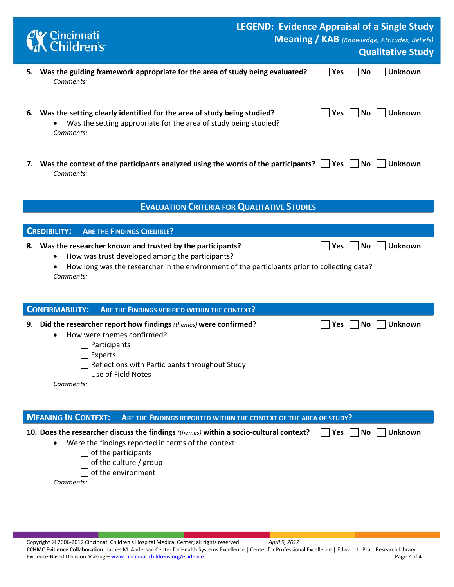|    | Cincinnati<br>K Children's                                                                                                                                                                                                             | <b>LEGEND: Evidence Appraisal of a Single Study</b> |            |           | <b>Meaning / KAB</b> (Knowledge, Attitudes, Beliefs) |
|----|----------------------------------------------------------------------------------------------------------------------------------------------------------------------------------------------------------------------------------------|-----------------------------------------------------|------------|-----------|------------------------------------------------------|
|    |                                                                                                                                                                                                                                        |                                                     |            |           | <b>Qualitative Study</b>                             |
| 5. | Was the guiding framework appropriate for the area of study being evaluated?<br>Comments:                                                                                                                                              |                                                     | <b>Yes</b> | <b>No</b> | <b>Unknown</b>                                       |
| 6. | Was the setting clearly identified for the area of study being studied?<br>Was the setting appropriate for the area of study being studied?<br>Comments:                                                                               |                                                     | <b>Yes</b> | <b>No</b> | <b>Unknown</b>                                       |
|    | 7. Was the context of the participants analyzed using the words of the participants?<br>Comments:                                                                                                                                      |                                                     | Yes        | No        | <b>Unknown</b>                                       |
|    | <b>EVALUATION CRITERIA FOR QUALITATIVE STUDIES</b>                                                                                                                                                                                     |                                                     |            |           |                                                      |
|    | <b>CREDIBILITY:</b><br><b>ARE THE FINDINGS CREDIBLE?</b>                                                                                                                                                                               |                                                     |            |           |                                                      |
| 8. | Was the researcher known and trusted by the participants?<br>How was trust developed among the participants?<br>How long was the researcher in the environment of the participants prior to collecting data?<br>$\bullet$<br>Comments: |                                                     | <b>Yes</b> | <b>No</b> | <b>Unknown</b>                                       |
|    | <b>CONFIRMABILITY:</b><br>ARE THE FINDINGS VERIFIED WITHIN THE CONTEXT?                                                                                                                                                                |                                                     |            |           |                                                      |
| 9. | Did the researcher report how findings (themes) were confirmed?<br>How were themes confirmed?<br>Participants<br>Experts<br>Reflections with Participants throughout Study<br>Use of Field Notes<br>Comments:                          |                                                     | Yes        | <b>No</b> | <b>Unknown</b>                                       |
|    | <b>MEANING IN CONTEXT:</b><br>ARE THE FINDINGS REPORTED WITHIN THE CONTEXT OF THE AREA OF STUDY?                                                                                                                                       |                                                     |            |           |                                                      |
|    | 10. Does the researcher discuss the findings (themes) within a socio-cultural context?<br>Were the findings reported in terms of the context:<br>of the participants<br>of the culture / group<br>of the environment<br>Comments:      |                                                     | Yes        | No        | <b>Unknown</b>                                       |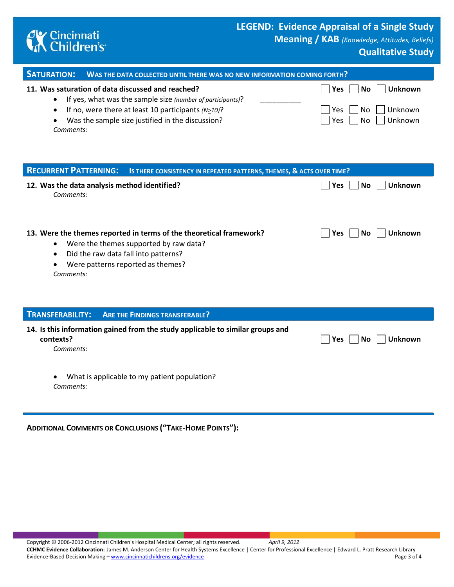

### **LEGEND: Evidence Appraisal of a Single Study**

**Meaning / KAB** *(Knowledge, Attitudes, Beliefs)*

### **Qualitative Study**

| <b>SATURATION:</b><br>WAS THE DATA COLLECTED UNTIL THERE WAS NO NEW INFORMATION COMING FORTH?                                                                                                                                                                            |                                                                                                  |  |  |  |  |  |  |
|--------------------------------------------------------------------------------------------------------------------------------------------------------------------------------------------------------------------------------------------------------------------------|--------------------------------------------------------------------------------------------------|--|--|--|--|--|--|
| 11. Was saturation of data discussed and reached?<br>If yes, what was the sample size (number of participants)?<br>If no, were there at least 10 participants $(N \geq 10)$ ?<br>$\bullet$<br>Was the sample size justified in the discussion?<br>$\bullet$<br>Comments: | <b>Unknown</b><br><b>No</b><br><b>Yes</b><br>Unknown<br>Yes<br>No<br><b>No</b><br>Unknown<br>Yes |  |  |  |  |  |  |
| <b>RECURRENT PATTERNING:</b><br>IS THERE CONSISTENCY IN REPEATED PATTERNS, THEMES, & ACTS OVER TIME?                                                                                                                                                                     |                                                                                                  |  |  |  |  |  |  |
| 12. Was the data analysis method identified?<br>Comments:                                                                                                                                                                                                                | Unknown<br><b>No</b><br><b>Yes</b>                                                               |  |  |  |  |  |  |
| 13. Were the themes reported in terms of the theoretical framework?<br>Were the themes supported by raw data?<br>Did the raw data fall into patterns?<br>$\bullet$<br>Were patterns reported as themes?<br>Comments:                                                     | <b>Unknown</b><br>No<br><b>Yes</b>                                                               |  |  |  |  |  |  |
|                                                                                                                                                                                                                                                                          |                                                                                                  |  |  |  |  |  |  |
| <b>TRANSFERABILITY:</b><br><b>ARE THE FINDINGS TRANSFERABLE?</b><br>14. Is this information gained from the study applicable to similar groups and<br>contexts?<br>Comments:                                                                                             | <b>Unknown</b><br>Yes<br>No                                                                      |  |  |  |  |  |  |
| What is applicable to my patient population?<br>$\bullet$<br>Comments:                                                                                                                                                                                                   |                                                                                                  |  |  |  |  |  |  |
| <b>ADDITIONAL COMMENTS OR CONCLUSIONS ("TAKE-HOME POINTS"):</b>                                                                                                                                                                                                          |                                                                                                  |  |  |  |  |  |  |